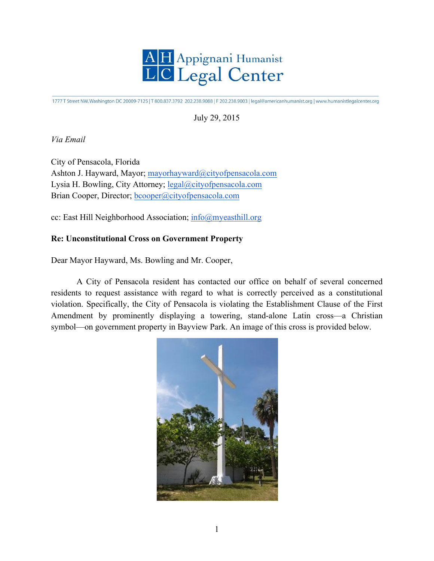

1777 T Street NW, Washington DC 20009-7125 | T 800.837.3792 202.238.9088 | F 202.238.9003 | legal@americanhumanist.org | www.humanistlegalcenter.org

## July 29, 2015

*Via Email*

City of Pensacola, Florida Ashton J. Hayward, Mayor; mayorhayward@cityofpensacola.com Lysia H. Bowling, City Attorney; legal@cityofpensacola.com Brian Cooper, Director; bcooper@cityofpensacola.com

cc: East Hill Neighborhood Association; info@myeasthill.org -

## **Re: Unconstitutional Cross on Government Property**

Dear Mayor Hayward, Ms. Bowling and Mr. Cooper,

A City of Pensacola resident has contacted our office on behalf of several concerned residents to request assistance with regard to what is correctly perceived as a constitutional violation. Specifically, the City of Pensacola is violating the Establishment Clause of the First  $\frac{1}{2}$ Amendment by prominently displaying a towering, stand-alone Latin cross—a Christian symbol—on government property in Bayview Park. An image of this cross is provided below. portunely, the City of Fensacon

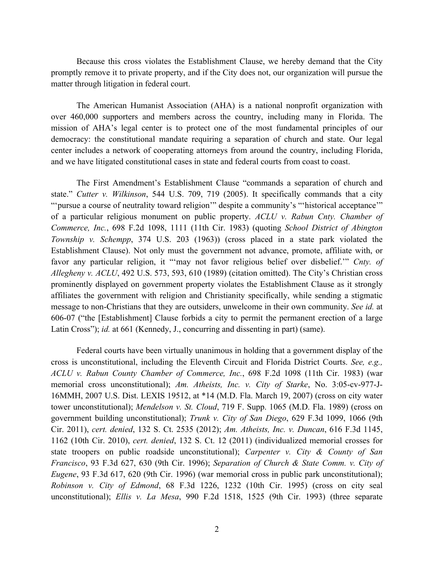Because this cross violates the Establishment Clause, we hereby demand that the City promptly remove it to private property, and if the City does not, our organization will pursue the matter through litigation in federal court.

The American Humanist Association (AHA) is a national nonprofit organization with over 460,000 supporters and members across the country, including many in Florida. The mission of AHA's legal center is to protect one of the most fundamental principles of our democracy: the constitutional mandate requiring a separation of church and state. Our legal center includes a network of cooperating attorneys from around the country, including Florida, and we have litigated constitutional cases in state and federal courts from coast to coast.

The First Amendment's Establishment Clause "commands a separation of church and state." *Cutter v. Wilkinson*, 544 U.S. 709, 719 (2005). It specifically commands that a city "'pursue a course of neutrality toward religion'" despite a community's "'historical acceptance'" of a particular religious monument on public property. *ACLU v. Rabun Cnty. Chamber of Commerce, Inc.*, 698 F.2d 1098, 1111 (11th Cir. 1983) (quoting *School District of Abington Township v. Schempp*, 374 U.S. 203 (1963)) (cross placed in a state park violated the Establishment Clause). Not only must the government not advance, promote, affiliate with, or favor any particular religion, it "'may not favor religious belief over disbelief.'" *Cnty. of Allegheny v. ACLU*, 492 U.S. 573, 593, 610 (1989) (citation omitted). The City's Christian cross prominently displayed on government property violates the Establishment Clause as it strongly affiliates the government with religion and Christianity specifically, while sending a stigmatic message to non-Christians that they are outsiders, unwelcome in their own community. *See id.* at 606-07 ("the [Establishment] Clause forbids a city to permit the permanent erection of a large Latin Cross"); *id.* at 661 (Kennedy, J., concurring and dissenting in part) (same).

Federal courts have been virtually unanimous in holding that a government display of the cross is unconstitutional, including the Eleventh Circuit and Florida District Courts. *See, e.g., ACLU v. Rabun County Chamber of Commerce, Inc.*, 698 F.2d 1098 (11th Cir. 1983) (war memorial cross unconstitutional); *Am. Atheists, Inc. v. City of Starke*, No. 3:05-cv-977-J-16MMH, 2007 U.S. Dist. LEXIS 19512, at \*14 (M.D. Fla. March 19, 2007) (cross on city water tower unconstitutional); *Mendelson v. St. Cloud*, 719 F. Supp. 1065 (M.D. Fla. 1989) (cross on government building unconstitutional); *Trunk v. City of San Diego*, 629 F.3d 1099, 1066 (9th Cir. 2011), *cert. denied*, 132 S. Ct. 2535 (2012); *Am. Atheists, Inc. v. Duncan*, 616 F.3d 1145, 1162 (10th Cir. 2010), *cert. denied*, 132 S. Ct. 12 (2011) (individualized memorial crosses for state troopers on public roadside unconstitutional); *Carpenter v. City & County of San Francisco*, 93 F.3d 627, 630 (9th Cir. 1996); *Separation of Church & State Comm. v. City of Eugene*, 93 F.3d 617, 620 (9th Cir. 1996) (war memorial cross in public park unconstitutional); *Robinson v. City of Edmond*, 68 F.3d 1226, 1232 (10th Cir. 1995) (cross on city seal unconstitutional); *Ellis v. La Mesa*, 990 F.2d 1518, 1525 (9th Cir. 1993) (three separate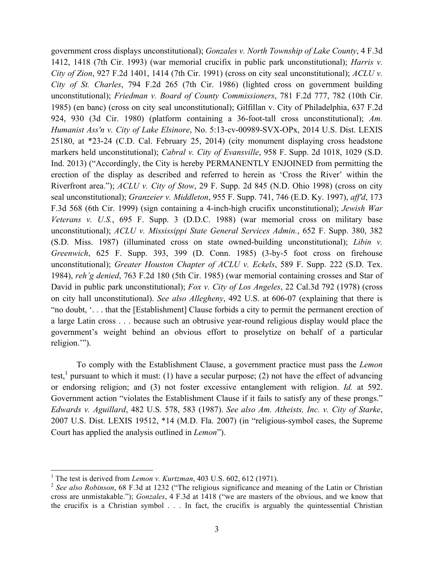government cross displays unconstitutional); *Gonzales v. North Township of Lake County*, 4 F.3d 1412, 1418 (7th Cir. 1993) (war memorial crucifix in public park unconstitutional); *Harris v. City of Zion*, 927 F.2d 1401, 1414 (7th Cir. 1991) (cross on city seal unconstitutional); *ACLU v. City of St. Charles*, 794 F.2d 265 (7th Cir. 1986) (lighted cross on government building unconstitutional); *Friedman v. Board of County Commissioners*, 781 F.2d 777, 782 (10th Cir. 1985) (en banc) (cross on city seal unconstitutional); Gilfillan v. City of Philadelphia, 637 F.2d 924, 930 (3d Cir. 1980) (platform containing a 36-foot-tall cross unconstitutional); *Am. Humanist Ass'n v. City of Lake Elsinore*, No. 5:13-cv-00989-SVX-OPx, 2014 U.S. Dist. LEXIS 25180, at \*23-24 (C.D. Cal. February 25, 2014) (city monument displaying cross headstone markers held unconstitutional); *Cabral v. City of Evansville*, 958 F. Supp. 2d 1018, 1029 (S.D. Ind. 2013) ("Accordingly, the City is hereby PERMANENTLY ENJOINED from permitting the erection of the display as described and referred to herein as 'Cross the River' within the Riverfront area."); *ACLU v. City of Stow*, 29 F. Supp. 2d 845 (N.D. Ohio 1998) (cross on city seal unconstitutional); *Granzeier v. Middleton*, 955 F. Supp. 741, 746 (E.D. Ky. 1997), *aff'd*, 173 F.3d 568 (6th Cir. 1999) (sign containing a 4-inch-high crucifix unconstitutional); *Jewish War Veterans v. U.S.*, 695 F. Supp. 3 (D.D.C. 1988) (war memorial cross on military base unconstitutional); *ACLU v. Mississippi State General Services Admin.*, 652 F. Supp. 380, 382 (S.D. Miss. 1987) (illuminated cross on state owned-building unconstitutional); *Libin v. Greenwich*, 625 F. Supp. 393, 399 (D. Conn. 1985) (3-by-5 foot cross on firehouse unconstitutional); *Greater Houston Chapter of ACLU v. Eckels*, 589 F. Supp. 222 (S.D. Tex. 1984), *reh'g denied*, 763 F.2d 180 (5th Cir. 1985) (war memorial containing crosses and Star of David in public park unconstitutional); *Fox v. City of Los Angeles*, 22 Cal.3d 792 (1978) (cross on city hall unconstitutional). *See also Allegheny*, 492 U.S. at 606-07 (explaining that there is "no doubt, '. . . that the [Establishment] Clause forbids a city to permit the permanent erection of a large Latin cross . . . because such an obtrusive year-round religious display would place the government's weight behind an obvious effort to proselytize on behalf of a particular religion.'").

To comply with the Establishment Clause, a government practice must pass the *Lemon* test,<sup>1</sup> pursuant to which it must: (1) have a secular purpose; (2) not have the effect of advancing or endorsing religion; and (3) not foster excessive entanglement with religion. *Id.* at 592. Government action "violates the Establishment Clause if it fails to satisfy any of these prongs." *Edwards v. Aguillard*, 482 U.S. 578, 583 (1987). *See also Am. Atheists, Inc. v. City of Starke*, 2007 U.S. Dist. LEXIS 19512, \*14 (M.D. Fla. 2007) (in "religious-symbol cases, the Supreme Court has applied the analysis outlined in *Lemon*").

<sup>&</sup>lt;sup>1</sup> The test is derived from *Lemon v. Kurtzman*, 403 U.S. 602, 612 (1971).

<sup>2</sup> *See also Robinson*, 68 F.3d at 1232 ("The religious significance and meaning of the Latin or Christian cross are unmistakable."); *Gonzales*, 4 F.3d at 1418 ("we are masters of the obvious, and we know that the crucifix is a Christian symbol . . . In fact, the crucifix is arguably the quintessential Christian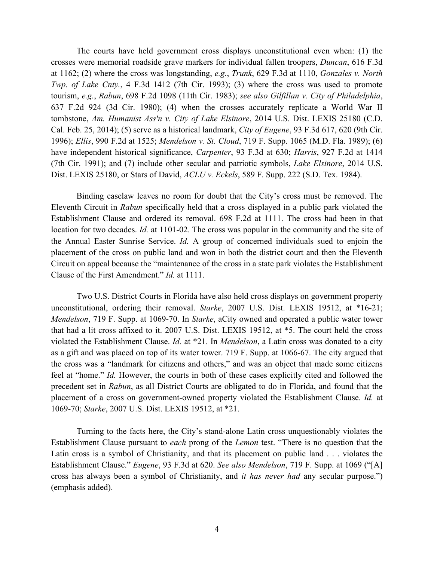The courts have held government cross displays unconstitutional even when: (1) the crosses were memorial roadside grave markers for individual fallen troopers, *Duncan*, 616 F.3d at 1162; (2) where the cross was longstanding, *e.g.*, *Trunk*, 629 F.3d at 1110, *Gonzales v. North Twp. of Lake Cnty.*, 4 F.3d 1412 (7th Cir. 1993); (3) where the cross was used to promote tourism, *e.g.*, *Rabun*, 698 F.2d 1098 (11th Cir. 1983); *see also Gilfillan v. City of Philadelphia*, 637 F.2d 924 (3d Cir. 1980); (4) when the crosses accurately replicate a World War II tombstone, *Am. Humanist Ass'n v. City of Lake Elsinore*, 2014 U.S. Dist. LEXIS 25180 (C.D. Cal. Feb. 25, 2014); (5) serve as a historical landmark, *City of Eugene*, 93 F.3d 617, 620 (9th Cir. 1996); *Ellis*, 990 F.2d at 1525; *Mendelson v. St. Cloud*, 719 F. Supp. 1065 (M.D. Fla. 1989); (6) have independent historical significance, *Carpenter*, 93 F.3d at 630; *Harris*, 927 F.2d at 1414 (7th Cir. 1991); and (7) include other secular and patriotic symbols, *Lake Elsinore*, 2014 U.S. Dist. LEXIS 25180, or Stars of David, *ACLU v. Eckels*, 589 F. Supp. 222 (S.D. Tex. 1984).

Binding caselaw leaves no room for doubt that the City's cross must be removed. The Eleventh Circuit in *Rabun* specifically held that a cross displayed in a public park violated the Establishment Clause and ordered its removal. 698 F.2d at 1111. The cross had been in that location for two decades. *Id.* at 1101-02. The cross was popular in the community and the site of the Annual Easter Sunrise Service. *Id.* A group of concerned individuals sued to enjoin the placement of the cross on public land and won in both the district court and then the Eleventh Circuit on appeal because the "maintenance of the cross in a state park violates the Establishment Clause of the First Amendment." *Id.* at 1111.

Two U.S. District Courts in Florida have also held cross displays on government property unconstitutional, ordering their removal. *Starke*, 2007 U.S. Dist. LEXIS 19512, at \*16-21; *Mendelson*, 719 F. Supp. at 1069-70. In *Starke*, aCity owned and operated a public water tower that had a lit cross affixed to it. 2007 U.S. Dist. LEXIS 19512, at \*5. The court held the cross violated the Establishment Clause. *Id.* at \*21. In *Mendelson*, a Latin cross was donated to a city as a gift and was placed on top of its water tower. 719 F. Supp. at 1066-67. The city argued that the cross was a "landmark for citizens and others," and was an object that made some citizens feel at "home." *Id.* However, the courts in both of these cases explicitly cited and followed the precedent set in *Rabun*, as all District Courts are obligated to do in Florida, and found that the placement of a cross on government-owned property violated the Establishment Clause. *Id.* at 1069-70; *Starke*, 2007 U.S. Dist. LEXIS 19512, at \*21.

Turning to the facts here, the City's stand-alone Latin cross unquestionably violates the Establishment Clause pursuant to *each* prong of the *Lemon* test. "There is no question that the Latin cross is a symbol of Christianity, and that its placement on public land . . . violates the Establishment Clause." *Eugene*, 93 F.3d at 620. *See also Mendelson*, 719 F. Supp. at 1069 ("[A] cross has always been a symbol of Christianity, and *it has never had* any secular purpose.") (emphasis added).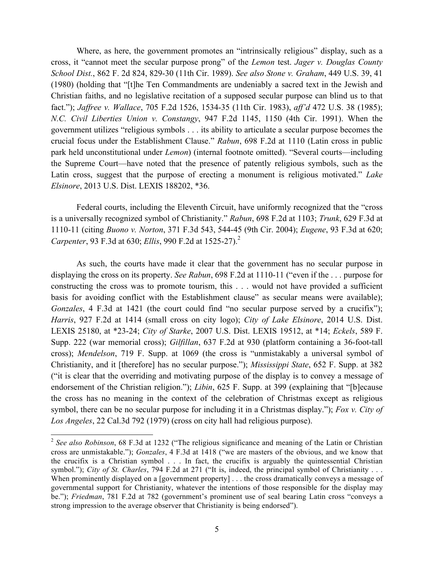Where, as here, the government promotes an "intrinsically religious" display, such as a cross, it "cannot meet the secular purpose prong" of the *Lemon* test. *Jager v. Douglas County School Dist.*, 862 F. 2d 824, 829-30 (11th Cir. 1989). *See also Stone v. Graham*, 449 U.S. 39, 41 (1980) (holding that "[t]he Ten Commandments are undeniably a sacred text in the Jewish and Christian faiths, and no legislative recitation of a supposed secular purpose can blind us to that fact."); *Jaffree v. Wallace*, 705 F.2d 1526, 1534-35 (11th Cir. 1983), *aff'd* 472 U.S. 38 (1985); *N.C. Civil Liberties Union v. Constangy*, 947 F.2d 1145, 1150 (4th Cir. 1991). When the government utilizes "religious symbols . . . its ability to articulate a secular purpose becomes the crucial focus under the Establishment Clause." *Rabun*, 698 F.2d at 1110 (Latin cross in public park held unconstitutional under *Lemon*) (internal footnote omitted). "Several courts—including the Supreme Court—have noted that the presence of patently religious symbols, such as the Latin cross, suggest that the purpose of erecting a monument is religious motivated." *Lake Elsinore*, 2013 U.S. Dist. LEXIS 188202, \*36.

Federal courts, including the Eleventh Circuit, have uniformly recognized that the "cross is a universally recognized symbol of Christianity." *Rabun*, 698 F.2d at 1103; *Trunk*, 629 F.3d at 1110-11 (citing *Buono v. Norton*, 371 F.3d 543, 544-45 (9th Cir. 2004); *Eugene*, 93 F.3d at 620; *Carpenter*, 93 F.3d at 630; *Ellis*, 990 F.2d at 1525-27).<sup>2</sup>

As such, the courts have made it clear that the government has no secular purpose in displaying the cross on its property. *See Rabun*, 698 F.2d at 1110-11 ("even if the . . . purpose for constructing the cross was to promote tourism, this . . . would not have provided a sufficient basis for avoiding conflict with the Establishment clause" as secular means were available); *Gonzales*, 4 F.3d at 1421 (the court could find "no secular purpose served by a crucifix"); *Harris*, 927 F.2d at 1414 (small cross on city logo); *City of Lake Elsinore*, 2014 U.S. Dist. LEXIS 25180, at \*23-24; *City of Starke*, 2007 U.S. Dist. LEXIS 19512, at \*14; *Eckels*, 589 F. Supp. 222 (war memorial cross); *Gilfillan*, 637 F.2d at 930 (platform containing a 36-foot-tall cross); *Mendelson*, 719 F. Supp. at 1069 (the cross is "unmistakably a universal symbol of Christianity, and it [therefore] has no secular purpose."); *Mississippi State*, 652 F. Supp. at 382 ("it is clear that the overriding and motivating purpose of the display is to convey a message of endorsement of the Christian religion."); *Libin*, 625 F. Supp. at 399 (explaining that "[b]ecause the cross has no meaning in the context of the celebration of Christmas except as religious symbol, there can be no secular purpose for including it in a Christmas display."); *Fox v. City of Los Angeles*, 22 Cal.3d 792 (1979) (cross on city hall had religious purpose).

<sup>2</sup> *See also Robinson*, 68 F.3d at 1232 ("The religious significance and meaning of the Latin or Christian cross are unmistakable."); *Gonzales*, 4 F.3d at 1418 ("we are masters of the obvious, and we know that the crucifix is a Christian symbol . . . In fact, the crucifix is arguably the quintessential Christian symbol."); *City of St. Charles*, 794 F.2d at 271 ("It is, indeed, the principal symbol of Christianity . . . When prominently displayed on a [government property] . . . the cross dramatically conveys a message of governmental support for Christianity, whatever the intentions of those responsible for the display may be."); *Friedman*, 781 F.2d at 782 (government's prominent use of seal bearing Latin cross "conveys a strong impression to the average observer that Christianity is being endorsed").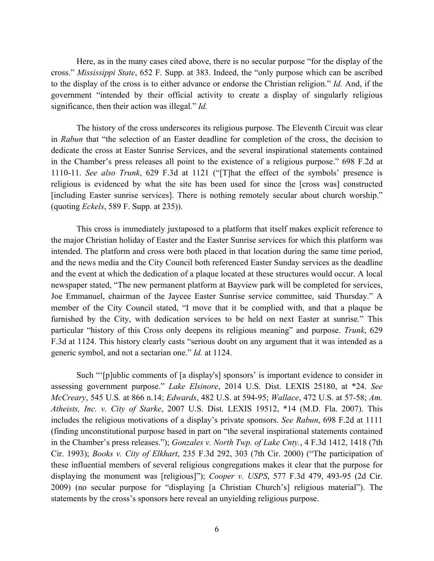Here, as in the many cases cited above, there is no secular purpose "for the display of the cross." *Mississippi State*, 652 F. Supp. at 383. Indeed, the "only purpose which can be ascribed to the display of the cross is to either advance or endorse the Christian religion." *Id.* And, if the government "intended by their official activity to create a display of singularly religious significance, then their action was illegal." *Id.*

The history of the cross underscores its religious purpose. The Eleventh Circuit was clear in *Rabun* that "the selection of an Easter deadline for completion of the cross, the decision to dedicate the cross at Easter Sunrise Services, and the several inspirational statements contained in the Chamber's press releases all point to the existence of a religious purpose." 698 F.2d at 1110-11. *See also Trunk*, 629 F.3d at 1121 ("[T]hat the effect of the symbols' presence is religious is evidenced by what the site has been used for since the [cross was] constructed [including Easter sunrise services]. There is nothing remotely secular about church worship." (quoting *Eckels*, 589 F. Supp. at 235)).

This cross is immediately juxtaposed to a platform that itself makes explicit reference to the major Christian holiday of Easter and the Easter Sunrise services for which this platform was intended. The platform and cross were both placed in that location during the same time period, and the news media and the City Council both referenced Easter Sunday services as the deadline and the event at which the dedication of a plaque located at these structures would occur. A local newspaper stated, "The new permanent platform at Bayview park will be completed for services, Joe Emmanuel, chairman of the Jaycee Easter Sunrise service committee, said Thursday." A member of the City Council stated, "I move that it be complied with, and that a plaque be furnished by the City, with dedication services to be held on next Easter at sunrise." This particular "history of this Cross only deepens its religious meaning" and purpose. *Trunk*, 629 F.3d at 1124. This history clearly casts "serious doubt on any argument that it was intended as a generic symbol, and not a sectarian one." *Id.* at 1124.

Such "'[p]ublic comments of [a display's] sponsors' is important evidence to consider in assessing government purpose." *Lake Elsinore*, 2014 U.S. Dist. LEXIS 25180, at \*24. *See McCreary*, 545 U.S*.* at 866 n.14; *Edwards*, 482 U.S. at 594-95; *Wallace*, 472 U.S. at 57-58; *Am. Atheists, Inc. v. City of Starke*, 2007 U.S. Dist. LEXIS 19512, \*14 (M.D. Fla. 2007). This includes the religious motivations of a display's private sponsors. *See Rabun*, 698 F.2d at 1111 (finding unconstitutional purpose based in part on "the several inspirational statements contained in the Chamber's press releases."); *Gonzales v. North Twp. of Lake Cnty.*, 4 F.3d 1412, 1418 (7th Cir. 1993); *Books v. City of Elkhart*, 235 F.3d 292, 303 (7th Cir. 2000) ("The participation of these influential members of several religious congregations makes it clear that the purpose for displaying the monument was [religious]"); *Cooper v. USPS*, 577 F.3d 479, 493-95 (2d Cir. 2009) (no secular purpose for "displaying [a Christian Church's] religious material"). The statements by the cross's sponsors here reveal an unyielding religious purpose.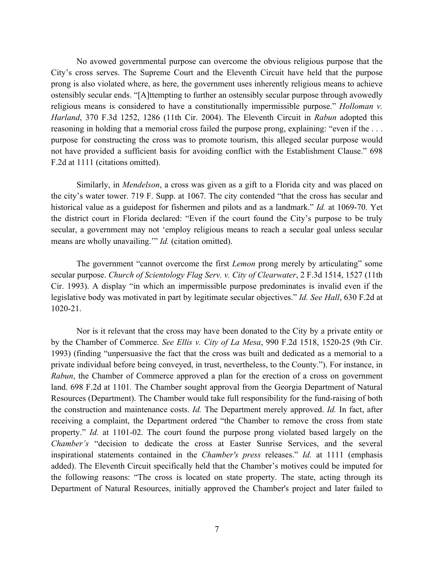No avowed governmental purpose can overcome the obvious religious purpose that the City's cross serves. The Supreme Court and the Eleventh Circuit have held that the purpose prong is also violated where, as here, the government uses inherently religious means to achieve ostensibly secular ends. "[A]ttempting to further an ostensibly secular purpose through avowedly religious means is considered to have a constitutionally impermissible purpose." *Holloman v. Harland*, 370 F.3d 1252, 1286 (11th Cir. 2004). The Eleventh Circuit in *Rabun* adopted this reasoning in holding that a memorial cross failed the purpose prong, explaining: "even if the . . . purpose for constructing the cross was to promote tourism, this alleged secular purpose would not have provided a sufficient basis for avoiding conflict with the Establishment Clause." 698 F.2d at 1111 (citations omitted).

Similarly, in *Mendelson*, a cross was given as a gift to a Florida city and was placed on the city's water tower. 719 F. Supp. at 1067. The city contended "that the cross has secular and historical value as a guidepost for fishermen and pilots and as a landmark." *Id.* at 1069-70. Yet the district court in Florida declared: "Even if the court found the City's purpose to be truly secular, a government may not 'employ religious means to reach a secular goal unless secular means are wholly unavailing.'" *Id.* (citation omitted).

The government "cannot overcome the first *Lemon* prong merely by articulating" some secular purpose. *Church of Scientology Flag Serv. v. City of Clearwater*, 2 F.3d 1514, 1527 (11th Cir. 1993). A display "in which an impermissible purpose predominates is invalid even if the legislative body was motivated in part by legitimate secular objectives." *Id. See Hall*, 630 F.2d at 1020-21.

Nor is it relevant that the cross may have been donated to the City by a private entity or by the Chamber of Commerce. *See Ellis v. City of La Mesa*, 990 F.2d 1518, 1520-25 (9th Cir. 1993) (finding "unpersuasive the fact that the cross was built and dedicated as a memorial to a private individual before being conveyed, in trust, nevertheless, to the County."). For instance, in *Rabun*, the Chamber of Commerce approved a plan for the erection of a cross on government land. 698 F.2d at 1101*.* The Chamber sought approval from the Georgia Department of Natural Resources (Department). The Chamber would take full responsibility for the fund-raising of both the construction and maintenance costs. *Id.* The Department merely approved. *Id.* In fact, after receiving a complaint, the Department ordered "the Chamber to remove the cross from state property." *Id.* at 1101-02. The court found the purpose prong violated based largely on the *Chamber's* "decision to dedicate the cross at Easter Sunrise Services, and the several inspirational statements contained in the *Chamber's press* releases." *Id.* at 1111 (emphasis added). The Eleventh Circuit specifically held that the Chamber's motives could be imputed for the following reasons: "The cross is located on state property. The state, acting through its Department of Natural Resources, initially approved the Chamber's project and later failed to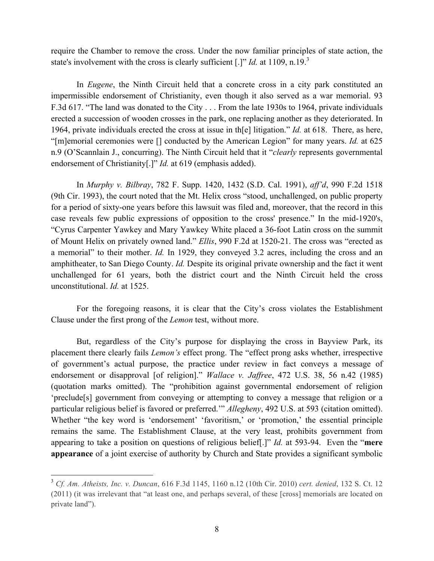require the Chamber to remove the cross. Under the now familiar principles of state action, the state's involvement with the cross is clearly sufficient [.]" *Id.* at 1109, n.19.<sup>3</sup>

In *Eugene*, the Ninth Circuit held that a concrete cross in a city park constituted an impermissible endorsement of Christianity, even though it also served as a war memorial. 93 F.3d 617. "The land was donated to the City . . . From the late 1930s to 1964, private individuals erected a succession of wooden crosses in the park, one replacing another as they deteriorated. In 1964, private individuals erected the cross at issue in th[e] litigation." *Id.* at 618. There, as here, "[m]emorial ceremonies were [] conducted by the American Legion" for many years. *Id.* at 625 n.9 (O'Scannlain J., concurring). The Ninth Circuit held that it "*clearly* represents governmental endorsement of Christianity[.]" *Id.* at 619 (emphasis added).

In *Murphy v. Bilbray*, 782 F. Supp. 1420, 1432 (S.D. Cal. 1991), *aff'd*, 990 F.2d 1518 (9th Cir. 1993), the court noted that the Mt. Helix cross "stood, unchallenged, on public property for a period of sixty-one years before this lawsuit was filed and, moreover, that the record in this case reveals few public expressions of opposition to the cross' presence." In the mid-1920's, "Cyrus Carpenter Yawkey and Mary Yawkey White placed a 36-foot Latin cross on the summit of Mount Helix on privately owned land." *Ellis*, 990 F.2d at 1520-21. The cross was "erected as a memorial" to their mother. *Id.* In 1929, they conveyed 3.2 acres, including the cross and an amphitheater, to San Diego County. *Id.* Despite its original private ownership and the fact it went unchallenged for 61 years, both the district court and the Ninth Circuit held the cross unconstitutional. *Id.* at 1525.

For the foregoing reasons, it is clear that the City's cross violates the Establishment Clause under the first prong of the *Lemon* test, without more.

But, regardless of the City's purpose for displaying the cross in Bayview Park, its placement there clearly fails *Lemon's* effect prong. The "effect prong asks whether, irrespective of government's actual purpose, the practice under review in fact conveys a message of endorsement or disapproval [of religion]." *Wallace v. Jaffree*, 472 U.S. 38, 56 n.42 (1985) (quotation marks omitted). The "prohibition against governmental endorsement of religion 'preclude[s] government from conveying or attempting to convey a message that religion or a particular religious belief is favored or preferred.'" *Allegheny*, 492 U.S. at 593 (citation omitted). Whether "the key word is 'endorsement' 'favoritism,' or 'promotion,' the essential principle remains the same. The Establishment Clause, at the very least, prohibits government from appearing to take a position on questions of religious belief[.]" *Id.* at 593-94. Even the "**mere appearance** of a joint exercise of authority by Church and State provides a significant symbolic

 $\overline{a}$ 

<sup>3</sup> *Cf. Am. Atheists, Inc. v. Duncan*, 616 F.3d 1145, 1160 n.12 (10th Cir. 2010) *cert. denied*, 132 S. Ct. 12 (2011) (it was irrelevant that "at least one, and perhaps several, of these [cross] memorials are located on private land").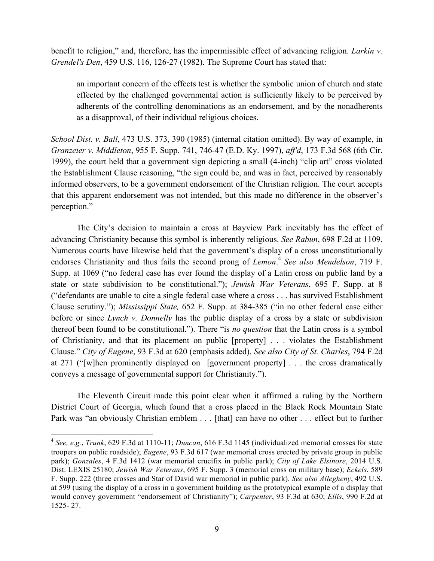benefit to religion," and, therefore, has the impermissible effect of advancing religion. *Larkin v. Grendel's Den*, 459 U.S. 116, 126-27 (1982). The Supreme Court has stated that:

an important concern of the effects test is whether the symbolic union of church and state effected by the challenged governmental action is sufficiently likely to be perceived by adherents of the controlling denominations as an endorsement, and by the nonadherents as a disapproval, of their individual religious choices.

*School Dist. v. Ball*, 473 U.S. 373, 390 (1985) (internal citation omitted). By way of example, in *Granzeier v. Middleton*, 955 F. Supp. 741, 746-47 (E.D. Ky. 1997), *aff'd*, 173 F.3d 568 (6th Cir. 1999), the court held that a government sign depicting a small (4-inch) "clip art" cross violated the Establishment Clause reasoning, "the sign could be, and was in fact, perceived by reasonably informed observers, to be a government endorsement of the Christian religion. The court accepts that this apparent endorsement was not intended, but this made no difference in the observer's perception."

The City's decision to maintain a cross at Bayview Park inevitably has the effect of advancing Christianity because this symbol is inherently religious. *See Rabun*, 698 F.2d at 1109. Numerous courts have likewise held that the government's display of a cross unconstitutionally endorses Christianity and thus fails the second prong of *Lemon*. <sup>4</sup> *See also Mendelson*, 719 F. Supp. at 1069 ("no federal case has ever found the display of a Latin cross on public land by a state or state subdivision to be constitutional."); *Jewish War Veterans*, 695 F. Supp. at 8 ("defendants are unable to cite a single federal case where a cross . . . has survived Establishment Clause scrutiny."); *Mississippi State,* 652 F. Supp. at 384-385 ("in no other federal case either before or since *Lynch v. Donnelly* has the public display of a cross by a state or subdivision thereof been found to be constitutional."). There "is *no question* that the Latin cross is a symbol of Christianity, and that its placement on public [property] . . . violates the Establishment Clause." *City of Eugene*, 93 F.3d at 620 (emphasis added). *See also City of St. Charles*, 794 F.2d at 271 ("[w]hen prominently displayed on [government property] . . . the cross dramatically conveys a message of governmental support for Christianity.").

The Eleventh Circuit made this point clear when it affirmed a ruling by the Northern District Court of Georgia, which found that a cross placed in the Black Rock Mountain State Park was "an obviously Christian emblem . . . [that] can have no other . . . effect but to further

<sup>4</sup> *See, e.g.*, *Trunk*, 629 F.3d at 1110-11; *Duncan*, 616 F.3d 1145 (individualized memorial crosses for state troopers on public roadside); *Eugene*, 93 F.3d 617 (war memorial cross erected by private group in public park); *Gonzales*, 4 F.3d 1412 (war memorial crucifix in public park); *City of Lake Elsinore*, 2014 U.S. Dist. LEXIS 25180; *Jewish War Veterans*, 695 F. Supp. 3 (memorial cross on military base); *Eckels*, 589 F. Supp. 222 (three crosses and Star of David war memorial in public park). *See also Allegheny*, 492 U.S. at 599 (using the display of a cross in a government building as the prototypical example of a display that would convey government "endorsement of Christianity"); *Carpenter*, 93 F.3d at 630; *Ellis*, 990 F.2d at 1525- 27.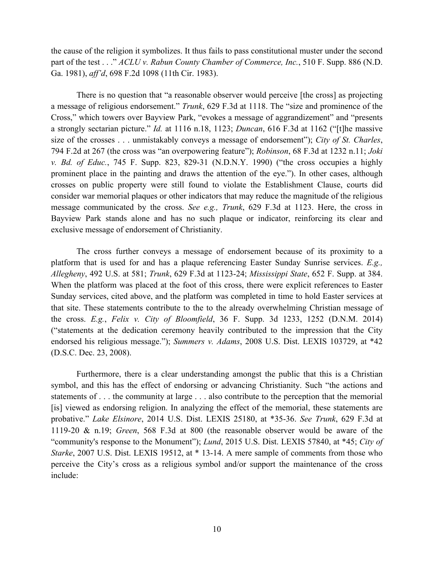the cause of the religion it symbolizes. It thus fails to pass constitutional muster under the second part of the test . . ." *ACLU v. Rabun County Chamber of Commerce, Inc.*, 510 F. Supp. 886 (N.D. Ga. 1981), *aff'd*, 698 F.2d 1098 (11th Cir. 1983).

There is no question that "a reasonable observer would perceive [the cross] as projecting a message of religious endorsement." *Trunk*, 629 F.3d at 1118. The "size and prominence of the Cross," which towers over Bayview Park, "evokes a message of aggrandizement" and "presents a strongly sectarian picture." *Id.* at 1116 n.18, 1123; *Duncan*, 616 F.3d at 1162 ("[t]he massive size of the crosses . . . unmistakably conveys a message of endorsement"); *City of St. Charles*, 794 F.2d at 267 (the cross was "an overpowering feature"); *Robinson*, 68 F.3d at 1232 n.11; *Joki v. Bd. of Educ.*, 745 F. Supp. 823, 829-31 (N.D.N.Y. 1990) ("the cross occupies a highly prominent place in the painting and draws the attention of the eye."). In other cases, although crosses on public property were still found to violate the Establishment Clause, courts did consider war memorial plaques or other indicators that may reduce the magnitude of the religious message communicated by the cross. *See e.g., Trunk*, 629 F.3d at 1123. Here, the cross in Bayview Park stands alone and has no such plaque or indicator, reinforcing its clear and exclusive message of endorsement of Christianity.

The cross further conveys a message of endorsement because of its proximity to a platform that is used for and has a plaque referencing Easter Sunday Sunrise services. *E.g., Allegheny*, 492 U.S. at 581; *Trunk*, 629 F.3d at 1123-24; *Mississippi State*, 652 F. Supp. at 384. When the platform was placed at the foot of this cross, there were explicit references to Easter Sunday services, cited above, and the platform was completed in time to hold Easter services at that site. These statements contribute to the to the already overwhelming Christian message of the cross. *E.g.*, *Felix v. City of Bloomfield*, 36 F. Supp. 3d 1233, 1252 (D.N.M. 2014) ("statements at the dedication ceremony heavily contributed to the impression that the City endorsed his religious message."); *Summers v. Adams*, 2008 U.S. Dist. LEXIS 103729, at \*42 (D.S.C. Dec. 23, 2008).

Furthermore, there is a clear understanding amongst the public that this is a Christian symbol, and this has the effect of endorsing or advancing Christianity. Such "the actions and statements of . . . the community at large . . . also contribute to the perception that the memorial [is] viewed as endorsing religion. In analyzing the effect of the memorial, these statements are probative." *Lake Elsinore*, 2014 U.S. Dist. LEXIS 25180, at \*35-36. *See Trunk*, 629 F.3d at 1119-20 & n.19; *Green*, 568 F.3d at 800 (the reasonable observer would be aware of the "community's response to the Monument"); *Lund*, 2015 U.S. Dist. LEXIS 57840, at \*45; *City of Starke*, 2007 U.S. Dist. LEXIS 19512, at \* 13-14. A mere sample of comments from those who perceive the City's cross as a religious symbol and/or support the maintenance of the cross include: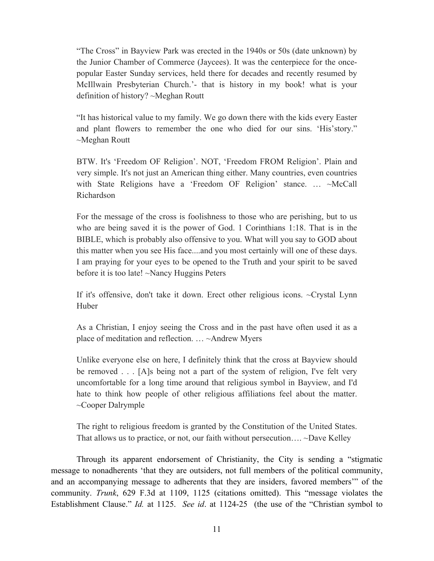"The Cross" in Bayview Park was erected in the 1940s or 50s (date unknown) by the Junior Chamber of Commerce (Jaycees). It was the centerpiece for the oncepopular Easter Sunday services, held there for decades and recently resumed by McIllwain Presbyterian Church.'- that is history in my book! what is your definition of history? ~Meghan Routt

"It has historical value to my family. We go down there with the kids every Easter and plant flowers to remember the one who died for our sins. 'His'story." ~Meghan Routt

BTW. It's 'Freedom OF Religion'. NOT, 'Freedom FROM Religion'. Plain and very simple. It's not just an American thing either. Many countries, even countries with State Religions have a 'Freedom OF Religion' stance. ... ~McCall Richardson

For the message of the cross is foolishness to those who are perishing, but to us who are being saved it is the power of God. 1 Corinthians 1:18. That is in the BIBLE, which is probably also offensive to you. What will you say to GOD about this matter when you see His face....and you most certainly will one of these days. I am praying for your eyes to be opened to the Truth and your spirit to be saved before it is too late! ~Nancy Huggins Peters

If it's offensive, don't take it down. Erect other religious icons. ~Crystal Lynn Huber

As a Christian, I enjoy seeing the Cross and in the past have often used it as a place of meditation and reflection. … ~Andrew Myers

Unlike everyone else on here, I definitely think that the cross at Bayview should be removed . . . [A]s being not a part of the system of religion, I've felt very uncomfortable for a long time around that religious symbol in Bayview, and I'd hate to think how people of other religious affiliations feel about the matter. ~Cooper Dalrymple

The right to religious freedom is granted by the Constitution of the United States. That allows us to practice, or not, our faith without persecution…. ~Dave Kelley

Through its apparent endorsement of Christianity, the City is sending a "stigmatic message to nonadherents 'that they are outsiders, not full members of the political community, and an accompanying message to adherents that they are insiders, favored members'" of the community. *Trunk*, 629 F.3d at 1109, 1125 (citations omitted). This "message violates the Establishment Clause." *Id.* at 1125. *See id*. at 1124-25 (the use of the "Christian symbol to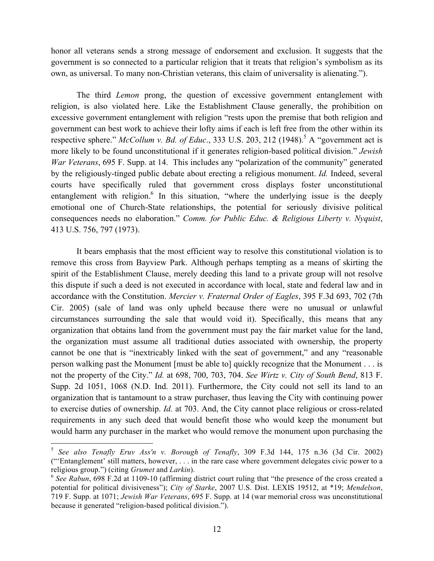honor all veterans sends a strong message of endorsement and exclusion. It suggests that the government is so connected to a particular religion that it treats that religion's symbolism as its own, as universal. To many non-Christian veterans, this claim of universality is alienating.").

The third *Lemon* prong, the question of excessive government entanglement with religion, is also violated here. Like the Establishment Clause generally, the prohibition on excessive government entanglement with religion "rests upon the premise that both religion and government can best work to achieve their lofty aims if each is left free from the other within its respective sphere." *McCollum v. Bd. of Educ.*, 333 U.S. 203, 212 (1948).<sup>5</sup> A "government act is more likely to be found unconstitutional if it generates religion-based political division." *Jewish War Veterans*, 695 F. Supp. at 14. This includes any "polarization of the community" generated by the religiously-tinged public debate about erecting a religious monument. *Id.* Indeed, several courts have specifically ruled that government cross displays foster unconstitutional entanglement with religion.<sup>6</sup> In this situation, "where the underlying issue is the deeply emotional one of Church-State relationships, the potential for seriously divisive political consequences needs no elaboration." *Comm. for Public Educ. & Religious Liberty v. Nyquist*, 413 U.S. 756, 797 (1973).

It bears emphasis that the most efficient way to resolve this constitutional violation is to remove this cross from Bayview Park. Although perhaps tempting as a means of skirting the spirit of the Establishment Clause, merely deeding this land to a private group will not resolve this dispute if such a deed is not executed in accordance with local, state and federal law and in accordance with the Constitution. *Mercier v. Fraternal Order of Eagles*, 395 F.3d 693, 702 (7th Cir. 2005) (sale of land was only upheld because there were no unusual or unlawful circumstances surrounding the sale that would void it). Specifically, this means that any organization that obtains land from the government must pay the fair market value for the land, the organization must assume all traditional duties associated with ownership, the property cannot be one that is "inextricably linked with the seat of government," and any "reasonable person walking past the Monument [must be able to] quickly recognize that the Monument . . . is not the property of the City." *Id.* at 698, 700, 703, 704. *See Wirtz v. City of South Bend*, 813 F. Supp. 2d 1051, 1068 (N.D. Ind. 2011). Furthermore, the City could not sell its land to an organization that is tantamount to a straw purchaser, thus leaving the City with continuing power to exercise duties of ownership. *Id.* at 703. And, the City cannot place religious or cross-related requirements in any such deed that would benefit those who would keep the monument but would harm any purchaser in the market who would remove the monument upon purchasing the

<sup>5</sup> *See also Tenafly Eruv Ass'n v. Borough of Tenafly*, 309 F.3d 144, 175 n.36 (3d Cir. 2002) ("'Entanglement' still matters, however, . . . in the rare case where government delegates civic power to a religious group.") (citing *Grumet* and *Larkin*).

<sup>6</sup> *See Rabun*, 698 F.2d at 1109-10 (affirming district court ruling that "the presence of the cross created a potential for political divisiveness"); *City of Starke*, 2007 U.S. Dist. LEXIS 19512, at \*19; *Mendelson*, 719 F. Supp. at 1071; *Jewish War Veterans*, 695 F. Supp. at 14 (war memorial cross was unconstitutional because it generated "religion-based political division.").